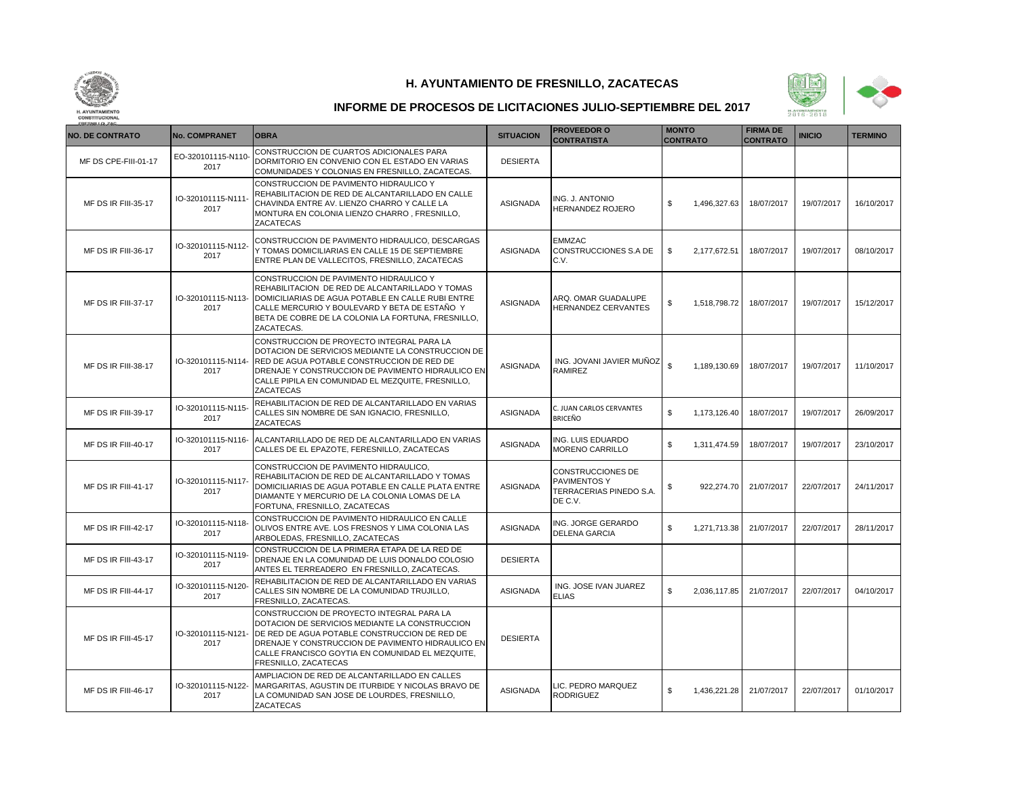



| <b>NO. DE CONTRATO</b>     | <b>No. COMPRANET</b>       | <b>OBRA</b>                                                                                                                                                                                                                                                                   | <b>SITUACION</b> | <b>PROVEEDOR O</b><br><b>CONTRATISTA</b>                                | <b>MONTO</b><br><b>CONTRATO</b> | <b>FIRMA DE</b><br><b>CONTRATO</b> | <b>INICIO</b> | <b>TERMINO</b> |
|----------------------------|----------------------------|-------------------------------------------------------------------------------------------------------------------------------------------------------------------------------------------------------------------------------------------------------------------------------|------------------|-------------------------------------------------------------------------|---------------------------------|------------------------------------|---------------|----------------|
| MF DS CPE-FIII-01-17       | EO-320101115-N110<br>2017  | CONSTRUCCION DE CUARTOS ADICIONALES PARA<br>DORMITORIO EN CONVENIO CON EL ESTADO EN VARIAS<br>COMUNIDADES Y COLONIAS EN FRESNILLO, ZACATECAS.                                                                                                                                 | <b>DESIERTA</b>  |                                                                         |                                 |                                    |               |                |
| MF DS IR FIII-35-17        | IO-320101115-N111<br>2017  | CONSTRUCCION DE PAVIMENTO HIDRAULICO Y<br>REHABILITACION DE RED DE ALCANTARILLADO EN CALLE<br>CHAVINDA ENTRE AV. LIENZO CHARRO Y CALLE LA<br>MONTURA EN COLONIA LIENZO CHARRO, FRESNILLO,<br><b>ZACATECAS</b>                                                                 | <b>ASIGNADA</b>  | ING. J. ANTONIO<br>HERNANDEZ ROJERO                                     | 1,496,327.63<br>\$              | 18/07/2017                         | 19/07/2017    | 16/10/2017     |
| MF DS IR FIII-36-17        | IO-320101115-N112-<br>2017 | CONSTRUCCION DE PAVIMENTO HIDRAULICO, DESCARGAS<br>Y TOMAS DOMICILIARIAS EN CALLE 15 DE SEPTIEMBRE<br>ENTRE PLAN DE VALLECITOS, FRESNILLO, ZACATECAS                                                                                                                          | <b>ASIGNADA</b>  | <b>EMMZAC</b><br>CONSTRUCCIONES S.A DE<br>C.V.                          | 2.177.672.51<br>\$              | 18/07/2017                         | 19/07/2017    | 08/10/2017     |
| MF DS IR FIII-37-17        | IO-320101115-N113-<br>2017 | CONSTRUCCION DE PAVIMENTO HIDRAULICO Y<br>REHABILITACION DE RED DE ALCANTARILLADO Y TOMAS<br>DOMICILIARIAS DE AGUA POTABLE EN CALLE RUBI ENTRE<br>CALLE MERCURIO Y BOULEVARD Y BETA DE ESTAÑO Y<br>BETA DE COBRE DE LA COLONIA LA FORTUNA, FRESNILLO,<br>ZACATECAS.           | <b>ASIGNADA</b>  | ARQ. OMAR GUADALUPE<br>HERNANDEZ CERVANTES                              | \$<br>1,518,798.72              | 18/07/2017                         | 19/07/2017    | 15/12/2017     |
| MF DS IR FIII-38-17        | IO-320101115-N114-<br>2017 | CONSTRUCCION DE PROYECTO INTEGRAL PARA LA<br>DOTACION DE SERVICIOS MEDIANTE LA CONSTRUCCION DE<br>RED DE AGUA POTABLE CONSTRUCCION DE RED DE<br>DRENAJE Y CONSTRUCCION DE PAVIMENTO HIDRAULICO EN<br>CALLE PIPILA EN COMUNIDAD EL MEZQUITE, FRESNILLO,<br>ZACATECAS           | <b>ASIGNADA</b>  | ING. JOVANI JAVIER MUÑOZ<br>RAMIREZ                                     | \$<br>1,189,130.69              | 18/07/2017                         | 19/07/2017    | 11/10/2017     |
| <b>MF DS IR FIII-39-17</b> | IO-320101115-N115-<br>2017 | REHABILITACION DE RED DE ALCANTARILLADO EN VARIAS<br>CALLES SIN NOMBRE DE SAN IGNACIO. FRESNILLO.<br>ZACATECAS                                                                                                                                                                | <b>ASIGNADA</b>  | C. JUAN CARLOS CERVANTES<br>BRICEÑO                                     | s.<br>1,173,126.40              | 18/07/2017                         | 19/07/2017    | 26/09/2017     |
| MF DS IR FIII-40-17        | IO-320101115-N116-<br>2017 | ALCANTARILLADO DE RED DE ALCANTARILLADO EN VARIAS<br>CALLES DE EL EPAZOTE, FERESNILLO, ZACATECAS                                                                                                                                                                              | <b>ASIGNADA</b>  | ING. LUIS EDUARDO<br>MORENO CARRILLO                                    | \$<br>1,311,474.59              | 18/07/2017                         | 19/07/2017    | 23/10/2017     |
| <b>MF DS IR FIII-41-17</b> | IO-320101115-N117<br>2017  | CONSTRUCCION DE PAVIMENTO HIDRAULICO.<br>REHABILITACION DE RED DE ALCANTARILLADO Y TOMAS<br>DOMICILIARIAS DE AGUA POTABLE EN CALLE PLATA ENTRE<br>DIAMANTE Y MERCURIO DE LA COLONIA LOMAS DE LA<br>FORTUNA, FRESNILLO, ZACATECAS                                              | <b>ASIGNADA</b>  | CONSTRUCCIONES DE<br>PAVIMENTOS Y<br>TERRACERIAS PINEDO S.A.<br>DE C.V. | 922.274.70<br>\$                | 21/07/2017                         | 22/07/2017    | 24/11/2017     |
| MF DS IR FIII-42-17        | IO-320101115-N118<br>2017  | CONSTRUCCION DE PAVIMENTO HIDRAULICO EN CALLE<br>OLIVOS ENTRE AVE. LOS FRESNOS Y LIMA COLONIA LAS<br>ARBOLEDAS, FRESNILLO, ZACATECAS                                                                                                                                          | <b>ASIGNADA</b>  | ING. JORGE GERARDO<br><b>DELENA GARCIA</b>                              | \$<br>1,271,713.38              | 21/07/2017                         | 22/07/2017    | 28/11/2017     |
| MF DS IR FIII-43-17        | IO-320101115-N119<br>2017  | CONSTRUCCION DE LA PRIMERA ETAPA DE LA RED DE<br>DRENAJE EN LA COMUNIDAD DE LUIS DONALDO COLOSIO<br>ANTES EL TERREADERO EN FRESNILLO, ZACATECAS.                                                                                                                              | <b>DESIERTA</b>  |                                                                         |                                 |                                    |               |                |
| MF DS IR FIII-44-17        | IO-320101115-N120<br>2017  | REHABILITACION DE RED DE ALCANTARILLADO EN VARIAS<br>CALLES SIN NOMBRE DE LA COMUNIDAD TRUJILLO,<br>FRESNILLO, ZACATECAS.                                                                                                                                                     | <b>ASIGNADA</b>  | ING. JOSE IVAN JUAREZ<br><b>ELIAS</b>                                   | \$<br>2,036,117.85              | 21/07/2017                         | 22/07/2017    | 04/10/2017     |
| MF DS IR FIII-45-17        | IO-320101115-N121<br>2017  | CONSTRUCCION DE PROYECTO INTEGRAL PARA LA<br>DOTACION DE SERVICIOS MEDIANTE LA CONSTRUCCION<br>DE RED DE AGUA POTABLE CONSTRUCCION DE RED DE<br>DRENAJE Y CONSTRUCCION DE PAVIMENTO HIDRAULICO EN<br>CALLE FRANCISCO GOYTIA EN COMUNIDAD EL MEZQUITE,<br>FRESNILLO, ZACATECAS | <b>DESIERTA</b>  |                                                                         |                                 |                                    |               |                |
| <b>MF DS IR FIII-46-17</b> | IO-320101115-N122<br>2017  | AMPLIACION DE RED DE ALCANTARILLADO EN CALLES<br>MARGARITAS, AGUSTIN DE ITURBIDE Y NICOLAS BRAVO DE<br>LA COMUNIDAD SAN JOSE DE LOURDES, FRESNILLO,<br><b>ZACATECAS</b>                                                                                                       | ASIGNADA         | LIC. PEDRO MARQUEZ<br><b>RODRIGUEZ</b>                                  | \$<br>1,436,221.28              | 21/07/2017                         | 22/07/2017    | 01/10/2017     |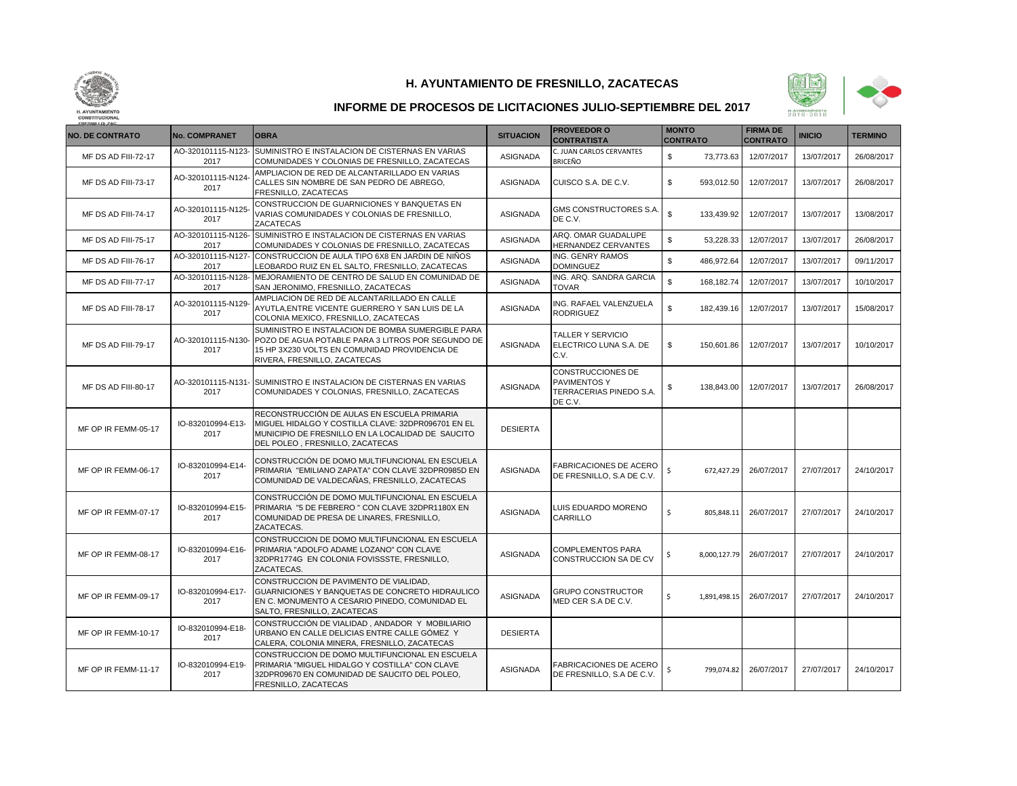



| <b>NO. DE CONTRATO</b> | <b>No. COMPRANET</b>       | <b>OBRA</b>                                                                                                                                                                               | <b>SITUACION</b> | <b>PROVEEDOR O</b><br><b>CONTRATISTA</b>                                | <b>MONTO</b><br><b>CONTRATO</b> | <b>FIRMA DE</b><br><b>CONTRATO</b> | <b>INICIO</b> | <b>TERMINO</b> |
|------------------------|----------------------------|-------------------------------------------------------------------------------------------------------------------------------------------------------------------------------------------|------------------|-------------------------------------------------------------------------|---------------------------------|------------------------------------|---------------|----------------|
| MF DS AD FIII-72-17    | AO-320101115-N123-<br>2017 | SUMINISTRO E INSTALACION DE CISTERNAS EN VARIAS<br>COMUNIDADES Y COLONIAS DE FRESNILLO, ZACATECAS                                                                                         | <b>ASIGNADA</b>  | C. JUAN CARLOS CERVANTES<br>BRICEÑO                                     | \$<br>73,773.63                 | 12/07/2017                         | 13/07/2017    | 26/08/2017     |
| MF DS AD FIII-73-17    | AO-320101115-N124<br>2017  | AMPLIACION DE RED DE ALCANTARILLADO EN VARIAS<br>CALLES SIN NOMBRE DE SAN PEDRO DE ABREGO,<br>FRESNILLO, ZACATECAS                                                                        | <b>ASIGNADA</b>  | CUISCO S.A. DE C.V.                                                     | \$<br>593,012.50                | 12/07/2017                         | 13/07/2017    | 26/08/2017     |
| MF DS AD FIII-74-17    | AO-320101115-N125<br>2017  | CONSTRUCCION DE GUARNICIONES Y BANQUETAS EN<br>VARIAS COMUNIDADES Y COLONIAS DE FRESNILLO,<br><b>ZACATECAS</b>                                                                            | <b>ASIGNADA</b>  | GMS CONSTRUCTORES S.A.<br>DE C.V.                                       | $\mathbb{S}$<br>133,439.92      | 12/07/2017                         | 13/07/2017    | 13/08/2017     |
| MF DS AD FIII-75-17    | AO-320101115-N126-<br>2017 | SUMINISTRO E INSTALACION DE CISTERNAS EN VARIAS<br>COMUNIDADES Y COLONIAS DE FRESNILLO, ZACATECAS                                                                                         | <b>ASIGNADA</b>  | ARQ. OMAR GUADALUPE<br>HERNANDEZ CERVANTES                              | $\mathbb S$<br>53,228.33        | 12/07/2017                         | 13/07/2017    | 26/08/2017     |
| MF DS AD FIII-76-17    | AO-320101115-N127-<br>2017 | CONSTRUCCION DE AULA TIPO 6X8 EN JARDIN DE NIÑOS<br>LEOBARDO RUIZ EN EL SALTO, FRESNILLO, ZACATECAS                                                                                       | <b>ASIGNADA</b>  | ING. GENRY RAMOS<br><b>DOMINGUEZ</b>                                    | $\mathbb{S}$<br>486,972.64      | 12/07/2017                         | 13/07/2017    | 09/11/2017     |
| MF DS AD FIII-77-17    | AO-320101115-N128-<br>2017 | MEJORAMIENTO DE CENTRO DE SALUD EN COMUNIDAD DE<br>SAN JERONIMO, FRESNILLO, ZACATECAS                                                                                                     | <b>ASIGNADA</b>  | ING. ARQ. SANDRA GARCIA<br><b>TOVAR</b>                                 | $\mathbb{S}$<br>168,182.74      | 12/07/2017                         | 13/07/2017    | 10/10/2017     |
| MF DS AD FIII-78-17    | AO-320101115-N129<br>2017  | AMPLIACION DE RED DE ALCANTARILLADO EN CALLE<br>AYUTLA, ENTRE VICENTE GUERRERO Y SAN LUIS DE LA<br>COLONIA MEXICO, FRESNILLO, ZACATECAS                                                   | <b>ASIGNADA</b>  | ING. RAFAEL VALENZUELA<br><b>RODRIGUEZ</b>                              | $\mathbb S$<br>182,439.16       | 12/07/2017                         | 13/07/2017    | 15/08/2017     |
| MF DS AD FIII-79-17    | AO-320101115-N130-<br>2017 | SUMINISTRO E INSTALACION DE BOMBA SUMERGIBLE PARA<br>POZO DE AGUA POTABLE PARA 3 LITROS POR SEGUNDO DE<br>15 HP 3X230 VOLTS EN COMUNIDAD PROVIDENCIA DE<br>RIVERA, FRESNILLO, ZACATECAS   | <b>ASIGNADA</b>  | <b>TALLER Y SERVICIO</b><br>ELECTRICO LUNA S.A. DE<br>C.V.              | \$<br>150,601.86                | 12/07/2017                         | 13/07/2017    | 10/10/2017     |
| MF DS AD FIII-80-17    | AO-320101115-N131-<br>2017 | <b>ISUMINISTRO E INSTALACION DE CISTERNAS EN VARIAS</b><br>COMUNIDADES Y COLONIAS, FRESNILLO, ZACATECAS                                                                                   | <b>ASIGNADA</b>  | CONSTRUCCIONES DE<br>PAVIMENTOS Y<br>TERRACERIAS PINEDO S.A.<br>DE C.V. | 138,843.00<br>\$                | 12/07/2017                         | 13/07/2017    | 26/08/2017     |
| MF OP IR FEMM-05-17    | IO-832010994-E13-<br>2017  | RECONSTRUCCIÓN DE AULAS EN ESCUELA PRIMARIA<br>MIGUEL HIDALGO Y COSTILLA CLAVE: 32DPR096701 EN EL<br>MUNICIPIO DE FRESNILLO EN LA LOCALIDAD DE SAUCITO<br>DEL POLEO, FRESNILLO, ZACATECAS | <b>DESIERTA</b>  |                                                                         |                                 |                                    |               |                |
| MF OP IR FEMM-06-17    | IO-832010994-E14-<br>2017  | CONSTRUCCIÓN DE DOMO MULTIFUNCIONAL EN ESCUELA<br>PRIMARIA "EMILIANO ZAPATA" CON CLAVE 32DPR0985D EN<br>COMUNIDAD DE VALDECAÑAS, FRESNILLO, ZACATECAS                                     | <b>ASIGNADA</b>  | FABRICACIONES DE ACERO<br>DE FRESNILLO, S.A DE C.V.                     | Ś<br>672,427.29                 | 26/07/2017                         | 27/07/2017    | 24/10/2017     |
| MF OP IR FEMM-07-17    | IO-832010994-E15-<br>2017  | CONSTRUCCIÓN DE DOMO MULTIFUNCIONAL EN ESCUELA<br>PRIMARIA "5 DE FEBRERO" CON CLAVE 32DPR1180X EN<br>COMUNIDAD DE PRESA DE LINARES, FRESNILLO,<br>ZACATECAS.                              | <b>ASIGNADA</b>  | LUIS EDUARDO MORENO<br>CARRILLO                                         | \$<br>805,848.11                | 26/07/2017                         | 27/07/2017    | 24/10/2017     |
| MF OP IR FEMM-08-17    | IO-832010994-E16-<br>2017  | CONSTRUCCION DE DOMO MULTIFUNCIONAL EN ESCUELA<br>PRIMARIA "ADOLFO ADAME LOZANO" CON CLAVE<br>32DPR1774G EN COLONIA FOVISSSTE. FRESNILLO.<br>ZACATECAS.                                   | <b>ASIGNADA</b>  | <b>COMPLEMENTOS PARA</b><br><b>CONSTRUCCION SA DE CV</b>                | \$<br>8,000,127.79              | 26/07/2017                         | 27/07/2017    | 24/10/2017     |
| MF OP IR FEMM-09-17    | IO-832010994-E17-<br>2017  | CONSTRUCCION DE PAVIMENTO DE VIALIDAD,<br>GUARNICIONES Y BANQUETAS DE CONCRETO HIDRAULICO<br>EN C. MONUMENTO A CESARIO PINEDO, COMUNIDAD EL<br>SALTO, FRESNILLO, ZACATECAS                | <b>ASIGNADA</b>  | <b>GRUPO CONSTRUCTOR</b><br>MED CER S.A DE C.V.                         | \$<br>1,891,498.15              | 26/07/2017                         | 27/07/2017    | 24/10/2017     |
| MF OP IR FEMM-10-17    | IO-832010994-E18-<br>2017  | CONSTRUCCIÓN DE VIALIDAD, ANDADOR Y MOBILIARIO<br>URBANO EN CALLE DELICIAS ENTRE CALLE GÓMEZ Y<br>CALERA, COLONIA MINERA, FRESNILLO, ZACATECAS                                            | <b>DESIERTA</b>  |                                                                         |                                 |                                    |               |                |
| MF OP IR FEMM-11-17    | IO-832010994-E19-<br>2017  | CONSTRUCCION DE DOMO MULTIFUNCIONAL EN ESCUELA<br>PRIMARIA "MIGUEL HIDALGO Y COSTILLA" CON CLAVE<br>32DPR09670 EN COMUNIDAD DE SAUCITO DEL POLEO,<br>FRESNILLO, ZACATECAS                 | <b>ASIGNADA</b>  | <b>FABRICACIONES DE ACERO</b><br>DE FRESNILLO. S.A DE C.V.              | Ś<br>799,074.82                 | 26/07/2017                         | 27/07/2017    | 24/10/2017     |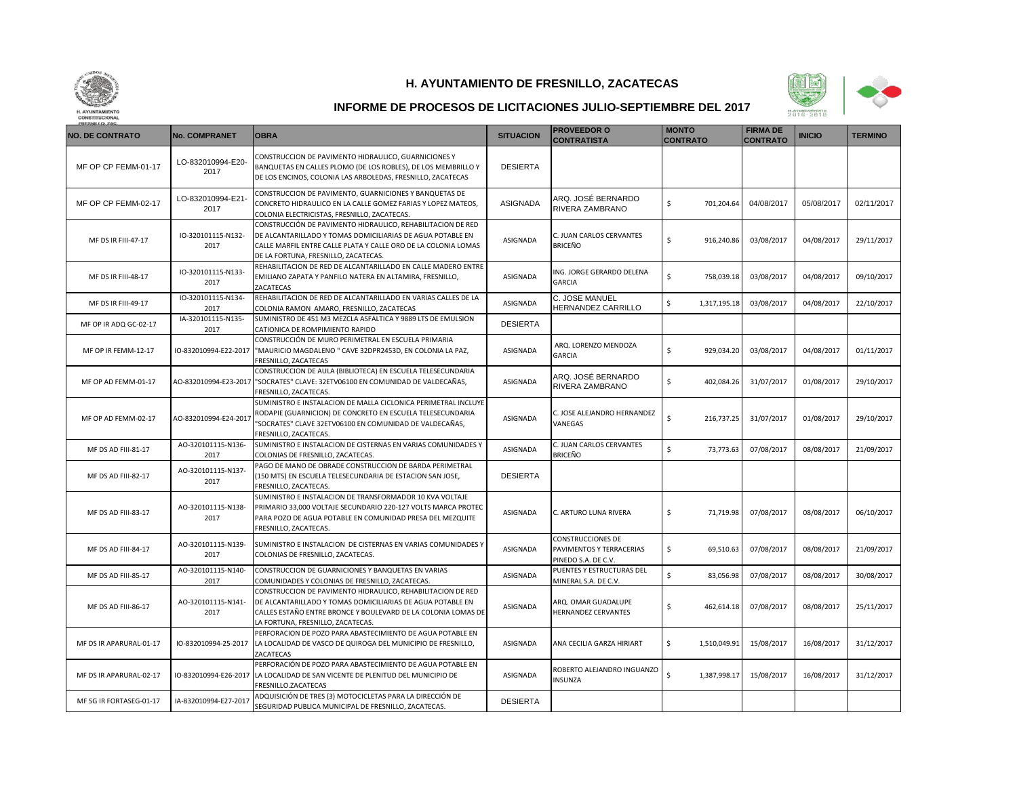



| <b>NO. DE CONTRATO</b>  | <b>No. COMPRANET</b>       | <b>OBRA</b>                                                                                                                                                                                                                         | <b>SITUACION</b> | <b>PROVEEDOR O</b><br><b>CONTRATISTA</b>                             | <b>MONTO</b><br><b>CONTRATO</b> | <b>FIRMA DE</b><br><b>CONTRATO</b> | <b>INICIO</b> | <b>TERMINO</b> |
|-------------------------|----------------------------|-------------------------------------------------------------------------------------------------------------------------------------------------------------------------------------------------------------------------------------|------------------|----------------------------------------------------------------------|---------------------------------|------------------------------------|---------------|----------------|
| MF OP CP FEMM-01-17     | LO-832010994-E20-<br>2017  | CONSTRUCCION DE PAVIMENTO HIDRAULICO, GUARNICIONES Y<br>BANQUETAS EN CALLES PLOMO (DE LOS ROBLES), DE LOS MEMBRILLO Y<br>DE LOS ENCINOS, COLONIA LAS ARBOLEDAS, FRESNILLO, ZACATECAS                                                | <b>DESIERTA</b>  |                                                                      |                                 |                                    |               |                |
| MF OP CP FEMM-02-17     | LO-832010994-E21<br>2017   | CONSTRUCCION DE PAVIMENTO, GUARNICIONES Y BANQUETAS DE<br>CONCRETO HIDRAULICO EN LA CALLE GOMEZ FARIAS Y LOPEZ MATEOS,<br>COLONIA ELECTRICISTAS, FRESNILLO, ZACATECAS.                                                              | <b>ASIGNADA</b>  | ARQ. JOSÉ BERNARDO<br>RIVERA ZAMBRANO                                | \$<br>701,204.64                | 04/08/2017                         | 05/08/2017    | 02/11/2017     |
| MF DS IR FIII-47-17     | IO-320101115-N132-<br>2017 | CONSTRUCCIÓN DE PAVIMENTO HIDRAULICO, REHABILITACION DE RED<br>DE ALCANTARILLADO Y TOMAS DOMICILIARIAS DE AGUA POTABLE EN<br>CALLE MARFIL ENTRE CALLE PLATA Y CALLE ORO DE LA COLONIA LOMAS<br>DE LA FORTUNA, FRESNILLO, ZACATECAS. | ASIGNADA         | C. JUAN CARLOS CERVANTES<br><b>BRICEÑO</b>                           | \$<br>916,240.86                | 03/08/2017                         | 04/08/2017    | 29/11/2017     |
| MF DS IR FIII-48-17     | IO-320101115-N133-<br>2017 | REHABILITACION DE RED DE ALCANTARILLADO EN CALLE MADERO ENTRE<br>EMILIANO ZAPATA Y PANFILO NATERA EN ALTAMIRA, FRESNILLO,<br>ZACATECAS                                                                                              | ASIGNADA         | ING. JORGE GERARDO DELENA<br>GARCIA                                  | \$<br>758,039.18                | 03/08/2017                         | 04/08/2017    | 09/10/2017     |
| MF DS IR FIII-49-17     | IO-320101115-N134-<br>2017 | REHABILITACION DE RED DE ALCANTARILLADO EN VARIAS CALLES DE LA<br>COLONIA RAMON AMARO, FRESNILLO, ZACATECAS                                                                                                                         | ASIGNADA         | C. JOSE MANUEL<br>HERNANDEZ CARRILLO                                 | \$<br>1,317,195.18              | 03/08/2017                         | 04/08/2017    | 22/10/2017     |
| MF OP IR ADQ GC-02-17   | IA-320101115-N135-<br>2017 | SUMINISTRO DE 451 M3 MEZCLA ASFALTICA Y 9889 LTS DE EMULSION<br>CATIONICA DE ROMPIMIENTO RAPIDO                                                                                                                                     | <b>DESIERTA</b>  |                                                                      |                                 |                                    |               |                |
| MF OP IR FEMM-12-17     |                            | CONSTRUCCIÓN DE MURO PERIMETRAL EN ESCUELA PRIMARIA<br>IO-832010994-E22-2017  "MAURICIO MAGDALENO " CAVE 32DPR2453D, EN COLONIA LA PAZ,<br>FRESNILLO, ZACATECAS                                                                     | ASIGNADA         | ARQ. LORENZO MENDOZA<br><b>GARCIA</b>                                | \$<br>929,034.20                | 03/08/2017                         | 04/08/2017    | 01/11/2017     |
| MF OP AD FEMM-01-17     |                            | CONSTRUCCION DE AULA (BIBLIOTECA) EN ESCUELA TELESECUNDARIA<br>AO-832010994-E23-2017 "SOCRATES" CLAVE: 32ETV06100 EN COMUNIDAD DE VALDECAÑAS,<br>FRESNILLO, ZACATECAS.                                                              | ASIGNADA         | ARQ. JOSÉ BERNARDO<br>RIVERA ZAMBRANO                                | \$<br>402,084.26                | 31/07/2017                         | 01/08/2017    | 29/10/2017     |
| MF OP AD FEMM-02-17     | AO-832010994-E24-2011      | SUMINISTRO E INSTALACION DE MALLA CICLONICA PERIMETRAL INCLUYE<br>RODAPIE (GUARNICION) DE CONCRETO EN ESCUELA TELESECUNDARIA<br>"SOCRATES" CLAVE 32ETV06100 EN COMUNIDAD DE VALDECAÑAS,<br>FRESNILLO, ZACATECAS.                    | ASIGNADA         | C. JOSE ALEJANDRO HERNANDEZ<br>VANEGAS                               | \$<br>216,737.25                | 31/07/2017                         | 01/08/2017    | 29/10/2017     |
| MF DS AD FIII-81-17     | AO-320101115-N136-<br>2017 | SUMINISTRO E INSTALACION DE CISTERNAS EN VARIAS COMUNIDADES Y<br>COLONIAS DE FRESNILLO, ZACATECAS.                                                                                                                                  | ASIGNADA         | C. JUAN CARLOS CERVANTES<br><b>BRICEÑO</b>                           | \$<br>73,773.63                 | 07/08/2017                         | 08/08/2017    | 21/09/2017     |
| MF DS AD FIII-82-17     | AO-320101115-N137-<br>2017 | PAGO DE MANO DE OBRADE CONSTRUCCION DE BARDA PERIMETRAL<br>(150 MTS) EN ESCUELA TELESECUNDARIA DE ESTACION SAN JOSE,<br>FRESNILLO, ZACATECAS.                                                                                       | <b>DESIERTA</b>  |                                                                      |                                 |                                    |               |                |
| MF DS AD FIII-83-17     | AO-320101115-N138-<br>2017 | SUMINISTRO E INSTALACION DE TRANSFORMADOR 10 KVA VOLTAJE<br>PRIMARIO 33,000 VOLTAJE SECUNDARIO 220-127 VOLTS MARCA PROTEC<br>PARA POZO DE AGUA POTABLE EN COMUNIDAD PRESA DEL MEZQUITE<br>FRESNILLO, ZACATECAS.                     | ASIGNADA         | C. ARTURO LUNA RIVERA                                                | \$<br>71,719.98                 | 07/08/2017                         | 08/08/2017    | 06/10/2017     |
| MF DS AD FIII-84-17     | AO-320101115-N139-<br>2017 | SUMINISTRO E INSTALACION DE CISTERNAS EN VARIAS COMUNIDADES Y<br>COLONIAS DE FRESNILLO, ZACATECAS.                                                                                                                                  | ASIGNADA         | CONSTRUCCIONES DE<br>PAVIMENTOS Y TERRACERIAS<br>PINEDO S.A. DE C.V. | \$<br>69,510.63                 | 07/08/2017                         | 08/08/2017    | 21/09/2017     |
| MF DS AD FIII-85-17     | AO-320101115-N140-<br>2017 | CONSTRUCCION DE GUARNICIONES Y BANQUETAS EN VARIAS<br>COMUNIDADES Y COLONIAS DE FRESNILLO, ZACATECAS.                                                                                                                               | ASIGNADA         | PUENTES Y ESTRUCTURAS DEL<br>MINERAL S.A. DE C.V.                    | \$<br>83,056.98                 | 07/08/2017                         | 08/08/2017    | 30/08/2017     |
| MF DS AD FIII-86-17     | AO-320101115-N141-<br>2017 | CONSTRUCCION DE PAVIMENTO HIDRAULICO, REHABILITACION DE RED<br>DE ALCANTARILLADO Y TOMAS DOMICILIARIAS DE AGUA POTABLE EN<br>CALLES ESTAÑO ENTRE BRONCE Y BOULEVARD DE LA COLONIA LOMAS DE<br>LA FORTUNA, FRESNILLO, ZACATECAS.     | ASIGNADA         | ARQ. OMAR GUADALUPE<br><b>HERNANDEZ CERVANTES</b>                    | \$<br>462,614.18                | 07/08/2017                         | 08/08/2017    | 25/11/2017     |
| MF DS IR APARURAL-01-17 | IO-832010994-25-2017       | PERFORACION DE POZO PARA ABASTECIMIENTO DE AGUA POTABLE EN<br>LA LOCALIDAD DE VASCO DE QUIROGA DEL MUNICIPIO DE FRESNILLO,<br>ZACATECAS                                                                                             | ASIGNADA         | ANA CECILIA GARZA HIRIART                                            | \$<br>1,510,049.91              | 15/08/2017                         | 16/08/2017    | 31/12/2017     |
| MF DS IR APARURAL-02-17 | IO-832010994-E26-2017      | PERFORACIÓN DE POZO PARA ABASTECIMIENTO DE AGUA POTABLE EN<br>LA LOCALIDAD DE SAN VICENTE DE PLENITUD DEL MUNICIPIO DE<br>FRESNILLO.ZACATECAS                                                                                       | ASIGNADA         | ROBERTO ALEJANDRO INGUANZO<br>INSUNZA                                | \$<br>1,387,998.17              | 15/08/2017                         | 16/08/2017    | 31/12/2017     |
| MF SG IR FORTASEG-01-17 | IA-832010994-E27-2017      | ADQUISICIÓN DE TRES (3) MOTOCICLETAS PARA LA DIRECCIÓN DE<br>SEGURIDAD PUBLICA MUNICIPAL DE FRESNILLO, ZACATECAS.                                                                                                                   | <b>DESIERTA</b>  |                                                                      |                                 |                                    |               |                |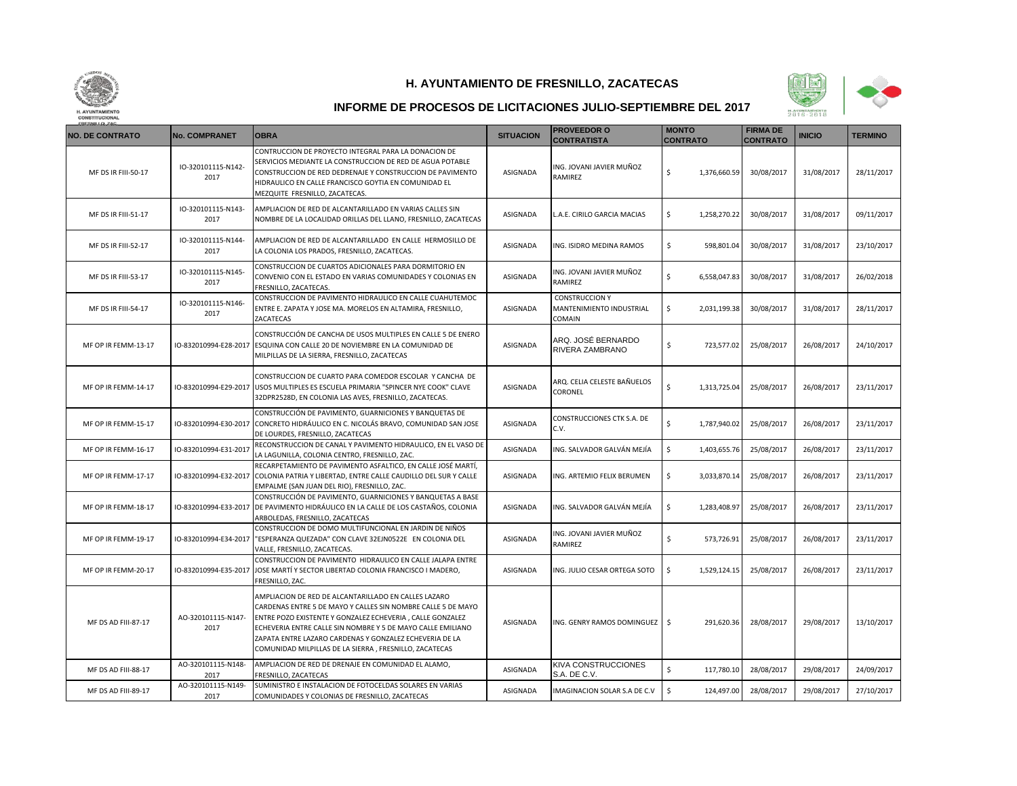



| <b>NO. DE CONTRATO</b> | <b>No. COMPRANET</b>       | <b>OBRA</b>                                                                                                                                                                                                                                                                                                                                                           | <b>SITUACION</b> | <b>PROVEEDOR O</b><br><b>CONTRATISTA</b>                    | <b>MONTO</b><br><b>CONTRATO</b> | <b>FIRMA DE</b><br><b>CONTRATO</b> | <b>INICIO</b> | <b>TERMINO</b> |
|------------------------|----------------------------|-----------------------------------------------------------------------------------------------------------------------------------------------------------------------------------------------------------------------------------------------------------------------------------------------------------------------------------------------------------------------|------------------|-------------------------------------------------------------|---------------------------------|------------------------------------|---------------|----------------|
| MF DS IR FIII-50-17    | IO-320101115-N142-<br>2017 | CONTRUCCION DE PROYECTO INTEGRAL PARA LA DONACION DE<br>SERVICIOS MEDIANTE LA CONSTRUCCION DE RED DE AGUA POTABLE<br>CONSTRUCCION DE RED DEDRENAJE Y CONSTRUCCION DE PAVIMENTO<br>HIDRAULICO EN CALLE FRANCISCO GOYTIA EN COMUNIDAD EL<br>MEZQUITE FRESNILLO, ZACATECAS                                                                                               | ASIGNADA         | ING. JOVANI JAVIER MUÑOZ<br>RAMIREZ                         | \$<br>1,376,660.59              | 30/08/2017                         | 31/08/2017    | 28/11/2017     |
| MF DS IR FIII-51-17    | IO-320101115-N143-<br>2017 | AMPLIACION DE RED DE ALCANTARILLADO EN VARIAS CALLES SIN<br>NOMBRE DE LA LOCALIDAD ORILLAS DEL LLANO, FRESNILLO, ZACATECAS                                                                                                                                                                                                                                            | ASIGNADA         | L.A.E. CIRILO GARCIA MACIAS                                 | \$<br>1,258,270.22              | 30/08/2017                         | 31/08/2017    | 09/11/2017     |
| MF DS IR FIII-52-17    | IO-320101115-N144-<br>2017 | AMPLIACION DE RED DE ALCANTARILLADO EN CALLE HERMOSILLO DE<br>LA COLONIA LOS PRADOS, FRESNILLO, ZACATECAS.                                                                                                                                                                                                                                                            | ASIGNADA         | ING. ISIDRO MEDINA RAMOS                                    | \$<br>598,801.04                | 30/08/2017                         | 31/08/2017    | 23/10/2017     |
| MF DS IR FIII-53-17    | IO-320101115-N145-<br>2017 | CONSTRUCCION DE CUARTOS ADICIONALES PARA DORMITORIO EN<br>CONVENIO CON EL ESTADO EN VARIAS COMUNIDADES Y COLONIAS EN<br>FRESNILLO, ZACATECAS.                                                                                                                                                                                                                         | ASIGNADA         | ING. JOVANI JAVIER MUÑOZ<br>RAMIREZ                         | \$<br>6,558,047.83              | 30/08/2017                         | 31/08/2017    | 26/02/2018     |
| MF DS IR FIII-54-17    | IO-320101115-N146-<br>2017 | CONSTRUCCION DE PAVIMENTO HIDRAULICO EN CALLE CUAHUTEMOC<br>ENTRE E. ZAPATA Y JOSE MA. MORELOS EN ALTAMIRA, FRESNILLO,<br>ZACATECAS                                                                                                                                                                                                                                   | ASIGNADA         | <b>CONSTRUCCION Y</b><br>MANTENIMIENTO INDUSTRIAL<br>COMAIN | \$<br>2,031,199.38              | 30/08/2017                         | 31/08/2017    | 28/11/2017     |
| MF OP IR FEMM-13-17    |                            | CONSTRUCCIÓN DE CANCHA DE USOS MULTIPLES EN CALLE 5 DE ENERO<br>10-832010994-E28-2017 ESQUINA CON CALLE 20 DE NOVIEMBRE EN LA COMUNIDAD DE<br>MILPILLAS DE LA SIERRA, FRESNILLO, ZACATECAS                                                                                                                                                                            | ASIGNADA         | ARQ. JOSÉ BERNARDO<br>RIVERA ZAMBRANO                       | \$<br>723,577.02                | 25/08/2017                         | 26/08/2017    | 24/10/2017     |
| MF OP IR FEMM-14-17    | IO-832010994-E29-2017      | CONSTRUCCION DE CUARTO PARA COMEDOR ESCOLAR Y CANCHA DE<br>USOS MULTIPLES ES ESCUELA PRIMARIA "SPINCER NYE COOK" CLAVE<br>32DPR2528D, EN COLONIA LAS AVES, FRESNILLO, ZACATECAS.                                                                                                                                                                                      | ASIGNADA         | ARQ. CELIA CELESTE BAÑUELOS<br>CORONEL                      | \$<br>1,313,725.04              | 25/08/2017                         | 26/08/2017    | 23/11/2017     |
| MF OP IR FEMM-15-17    | IO-832010994-E30-2017      | CONSTRUCCIÓN DE PAVIMENTO, GUARNICIONES Y BANQUETAS DE<br>CONCRETO HIDRÁULICO EN C. NICOLÁS BRAVO, COMUNIDAD SAN JOSE<br>DE LOURDES, FRESNILLO, ZACATECAS                                                                                                                                                                                                             | ASIGNADA         | CONSTRUCCIONES CTK S.A. DE<br>C.V.                          | \$<br>1,787,940.02              | 25/08/2017                         | 26/08/2017    | 23/11/2017     |
| MF OP IR FEMM-16-17    | IO-832010994-E31-2011      | RECONSTRUCCION DE CANAL Y PAVIMENTO HIDRAULICO, EN EL VASO DE<br>LA LAGUNILLA, COLONIA CENTRO, FRESNILLO, ZAC.                                                                                                                                                                                                                                                        | ASIGNADA         | ING. SALVADOR GALVÁN MEJÍA                                  | \$<br>1,403,655.76              | 25/08/2017                         | 26/08/2017    | 23/11/2017     |
| MF OP IR FEMM-17-17    | IO-832010994-E32-2017      | RECARPETAMIENTO DE PAVIMENTO ASFALTICO, EN CALLE JOSÉ MARTÍ,<br>COLONIA PATRIA Y LIBERTAD, ENTRE CALLE CAUDILLO DEL SUR Y CALLE<br>EMPALME (SAN JUAN DEL RIO), FRESNILLO, ZAC.                                                                                                                                                                                        | ASIGNADA         | ING. ARTEMIO FELIX BERUMEN                                  | \$<br>3,033,870.14              | 25/08/2017                         | 26/08/2017    | 23/11/2017     |
| MF OP IR FEMM-18-17    | IO-832010994-E33-2017      | CONSTRUCCIÓN DE PAVIMENTO, GUARNICIONES Y BANQUETAS A BASE<br>DE PAVIMENTO HIDRÁULICO EN LA CALLE DE LOS CASTAÑOS, COLONIA<br>ARBOLEDAS, FRESNILLO, ZACATECAS                                                                                                                                                                                                         | ASIGNADA         | ING. SALVADOR GALVÁN MEJÍA                                  | \$<br>1,283,408.97              | 25/08/2017                         | 26/08/2017    | 23/11/2017     |
| MF OP IR FEMM-19-17    | IO-832010994-E34-2017      | CONSTRUCCION DE DOMO MULTIFUNCIONAL EN JARDIN DE NIÑOS<br>"ESPERANZA QUEZADA" CON CLAVE 32EJN0522E EN COLONIA DEL<br>VALLE, FRESNILLO, ZACATECAS.                                                                                                                                                                                                                     | ASIGNADA         | ING. JOVANI JAVIER MUÑOZ<br>RAMIREZ                         | Ś<br>573,726.91                 | 25/08/2017                         | 26/08/2017    | 23/11/2017     |
| MF OP IR FEMM-20-17    | IO-832010994-E35-2017      | CONSTRUCCION DE PAVIMENTO HIDRAULICO EN CALLE JALAPA ENTRE<br>JOSE MARTÍ Y SECTOR LIBERTAD COLONIA FRANCISCO I MADERO,<br>FRESNILLO, ZAC.                                                                                                                                                                                                                             | ASIGNADA         | ING. JULIO CESAR ORTEGA SOTO                                | \$<br>1,529,124.15              | 25/08/2017                         | 26/08/2017    | 23/11/2017     |
| MF DS AD FIII-87-17    | AO-320101115-N147-<br>2017 | AMPLIACION DE RED DE ALCANTARILLADO EN CALLES LAZARO<br>CARDENAS ENTRE 5 DE MAYO Y CALLES SIN NOMBRE CALLE 5 DE MAYO<br>ENTRE POZO EXISTENTE Y GONZALEZ ECHEVERIA, CALLE GONZALEZ<br>ECHEVERIA ENTRE CALLE SIN NOMBRE Y 5 DE MAYO CALLE EMILIANO<br>ZAPATA ENTRE LAZARO CARDENAS Y GONZALEZ ECHEVERIA DE LA<br>COMUNIDAD MILPILLAS DE LA SIERRA, FRESNILLO, ZACATECAS | ASIGNADA         | ING. GENRY RAMOS DOMINGUEZ   \$                             | 291,620.36                      | 28/08/2017                         | 29/08/2017    | 13/10/2017     |
| MF DS AD FIII-88-17    | AO-320101115-N148-<br>2017 | AMPLIACION DE RED DE DRENAJE EN COMUNIDAD EL ALAMO,<br>FRESNILLO, ZACATECAS                                                                                                                                                                                                                                                                                           | ASIGNADA         | KIVA CONSTRUCCIONES<br>S.A. DE C.V.                         | Ś<br>117,780.10                 | 28/08/2017                         | 29/08/2017    | 24/09/2017     |
| MF DS AD FIII-89-17    | AO-320101115-N149-<br>2017 | SUMINISTRO E INSTALACION DE FOTOCELDAS SOLARES EN VARIAS<br>COMUNIDADES Y COLONIAS DE FRESNILLO, ZACATECAS                                                                                                                                                                                                                                                            | ASIGNADA         | IMAGINACION SOLAR S.A DE C.V                                | \$<br>124,497.00                | 28/08/2017                         | 29/08/2017    | 27/10/2017     |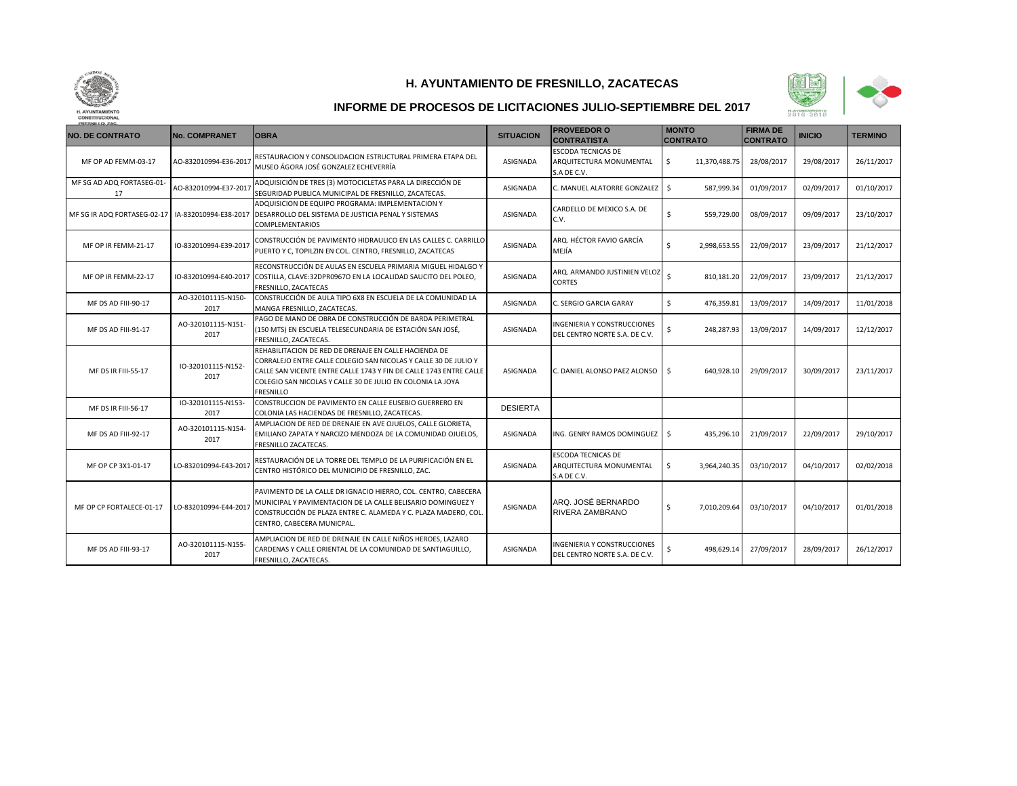



| <b>NO. DE CONTRATO</b>          | <b>No. COMPRANET</b>       | <b>OBRA</b>                                                                                                                                                                                                                                                                      | <b>SITUACION</b> | <b>PROVEEDOR O</b><br><b>CONTRATISTA</b>                            | <b>MONTO</b><br><b>CONTRATO</b> | <b>FIRMA DE</b><br><b>CONTRATO</b> | <b>INICIO</b> | <b>TERMINO</b> |
|---------------------------------|----------------------------|----------------------------------------------------------------------------------------------------------------------------------------------------------------------------------------------------------------------------------------------------------------------------------|------------------|---------------------------------------------------------------------|---------------------------------|------------------------------------|---------------|----------------|
| MF OP AD FEMM-03-17             | AO-832010994-E36-2017      | RESTAURACION Y CONSOLIDACION ESTRUCTURAL PRIMERA ETAPA DEL<br>MUSEO ÁGORA JOSÉ GONZALEZ ECHEVERRÍA                                                                                                                                                                               | ASIGNADA         | <b>ESCODA TECNICAS DE</b><br>ARQUITECTURA MONUMENTAL<br>S.A DE C.V. | \$<br>11,370,488.75             | 28/08/2017                         | 29/08/2017    | 26/11/2017     |
| MF SG AD ADQ FORTASEG-01-<br>17 | AO-832010994-E37-2017      | ADQUISICIÓN DE TRES (3) MOTOCICLETAS PARA LA DIRECCIÓN DE<br>SEGURIDAD PUBLICA MUNICIPAL DE FRESNILLO, ZACATECAS.                                                                                                                                                                | ASIGNADA         | C. MANUEL ALATORRE GONZALEZ                                         | Ŝ.<br>587,999.34                | 01/09/2017                         | 02/09/2017    | 01/10/2017     |
| MF SG IR ADQ FORTASEG-02-17     |                            | ADQUISICION DE EQUIPO PROGRAMA: IMPLEMENTACION Y<br>IA-832010994-E38-2017   DESARROLLO DEL SISTEMA DE JUSTICIA PENAL Y SISTEMAS<br><b>COMPLEMENTARIOS</b>                                                                                                                        | ASIGNADA         | CARDELLO DE MEXICO S.A. DE<br>C.V.                                  | \$<br>559,729.00                | 08/09/2017                         | 09/09/2017    | 23/10/2017     |
| MF OP IR FEMM-21-17             | IO-832010994-E39-2017      | CONSTRUCCIÓN DE PAVIMENTO HIDRAULICO EN LAS CALLES C. CARRILLO<br>PUERTO Y C, TOPILZIN EN COL. CENTRO, FRESNILLO, ZACATECAS                                                                                                                                                      | ASIGNADA         | ARO. HÉCTOR FAVIO GARCÍA<br>MEJÍA                                   | \$<br>2,998,653.55              | 22/09/2017                         | 23/09/2017    | 21/12/2017     |
| MF OP IR FEMM-22-17             |                            | RECONSTRUCCIÓN DE AULAS EN ESCUELA PRIMARIA MIGUEL HIDALGO Y<br>IO-832010994-E40-2017 COSTILLA, CLAVE:32DPR0967O EN LA LOCALIDAD SAUCITO DEL POLEO,<br>FRESNILLO, ZACATECAS                                                                                                      | ASIGNADA         | ARQ. ARMANDO JUSTINIEN VELOZ<br>CORTES                              | Ś<br>810,181.20                 | 22/09/2017                         | 23/09/2017    | 21/12/2017     |
| MF DS AD FIII-90-17             | AO-320101115-N150-<br>2017 | CONSTRUCCIÓN DE AULA TIPO 6X8 EN ESCUELA DE LA COMUNIDAD LA<br>MANGA FRESNILLO, ZACATECAS.                                                                                                                                                                                       | ASIGNADA         | C. SERGIO GARCIA GARAY                                              | Ś.<br>476,359.81                | 13/09/2017                         | 14/09/2017    | 11/01/2018     |
| MF DS AD FIII-91-17             | AO-320101115-N151<br>2017  | PAGO DE MANO DE OBRA DE CONSTRUCCIÓN DE BARDA PERIMETRAL<br>(150 MTS) EN ESCUELA TELESECUNDARIA DE ESTACIÓN SAN JOSÉ,<br>FRESNILLO, ZACATECAS.                                                                                                                                   | <b>ASIGNADA</b>  | INGENIERIA Y CONSTRUCCIONES<br>DEL CENTRO NORTE S.A. DE C.V.        | \$<br>248,287.93                | 13/09/2017                         | 14/09/2017    | 12/12/2017     |
| <b>MF DS IR FIII-55-17</b>      | IO-320101115-N152-<br>2017 | REHABILITACION DE RED DE DRENAJE EN CALLE HACIENDA DE<br>CORRALEJO ENTRE CALLE COLEGIO SAN NICOLAS Y CALLE 30 DE JULIO Y<br>CALLE SAN VICENTE ENTRE CALLE 1743 Y FIN DE CALLE 1743 ENTRE CALLE<br>COLEGIO SAN NICOLAS Y CALLE 30 DE JULIO EN COLONIA LA JOYA<br><b>FRESNILLO</b> | ASIGNADA         | C. DANIEL ALONSO PAEZ ALONSO \$                                     | 640,928.10                      | 29/09/2017                         | 30/09/2017    | 23/11/2017     |
| MF DS IR FIII-56-17             | IO-320101115-N153-<br>2017 | CONSTRUCCION DE PAVIMENTO EN CALLE EUSEBIO GUERRERO EN<br>COLONIA LAS HACIENDAS DE FRESNILLO, ZACATECAS.                                                                                                                                                                         | <b>DESIERTA</b>  |                                                                     |                                 |                                    |               |                |
| MF DS AD FIII-92-17             | AO-320101115-N154<br>2017  | AMPLIACION DE RED DE DRENAJE EN AVE OJUELOS, CALLE GLORIETA,<br>EMILIANO ZAPATA Y NARCIZO MENDOZA DE LA COMUNIDAD OJUELOS,<br>FRESNILLO ZACATECAS.                                                                                                                               | ASIGNADA         | ING. GENRY RAMOS DOMINGUEZ                                          | \$<br>435,296.10                | 21/09/2017                         | 22/09/2017    | 29/10/2017     |
| MF OP CP 3X1-01-17              | LO-832010994-E43-2017      | RESTAURACIÓN DE LA TORRE DEL TEMPLO DE LA PURIFICACIÓN EN EL<br>CENTRO HISTÓRICO DEL MUNICIPIO DE FRESNILLO, ZAC.                                                                                                                                                                | ASIGNADA         | <b>ESCODA TECNICAS DE</b><br>ARQUITECTURA MONUMENTAL<br>S.A DE C.V. | \$<br>3,964,240.35              | 03/10/2017                         | 04/10/2017    | 02/02/2018     |
| MF OP CP FORTALECE-01-17        | LO-832010994-E44-2017      | PAVIMENTO DE LA CALLE DR IGNACIO HIERRO, COL. CENTRO, CABECERA<br>MUNICIPAL Y PAVIMENTACION DE LA CALLE BELISARIO DOMINGUEZ Y<br>CONSTRUCCIÓN DE PLAZA ENTRE C. ALAMEDA Y C. PLAZA MADERO, COL<br>CENTRO, CABECERA MUNICPAL.                                                     | ASIGNADA         | ARQ. JOSÉ BERNARDO<br>RIVERA ZAMBRANO                               | \$<br>7,010,209.64              | 03/10/2017                         | 04/10/2017    | 01/01/2018     |
| MF DS AD FIII-93-17             | AO-320101115-N155-<br>2017 | AMPLIACION DE RED DE DRENAJE EN CALLE NIÑOS HEROES, LAZARO<br>CARDENAS Y CALLE ORIENTAL DE LA COMUNIDAD DE SANTIAGUILLO.<br>FRESNILLO, ZACATECAS.                                                                                                                                | <b>ASIGNADA</b>  | NGENIERIA Y CONSTRUCCIONES<br>DEL CENTRO NORTE S.A. DE C.V.         | Ś.<br>498,629.14                | 27/09/2017                         | 28/09/2017    | 26/12/2017     |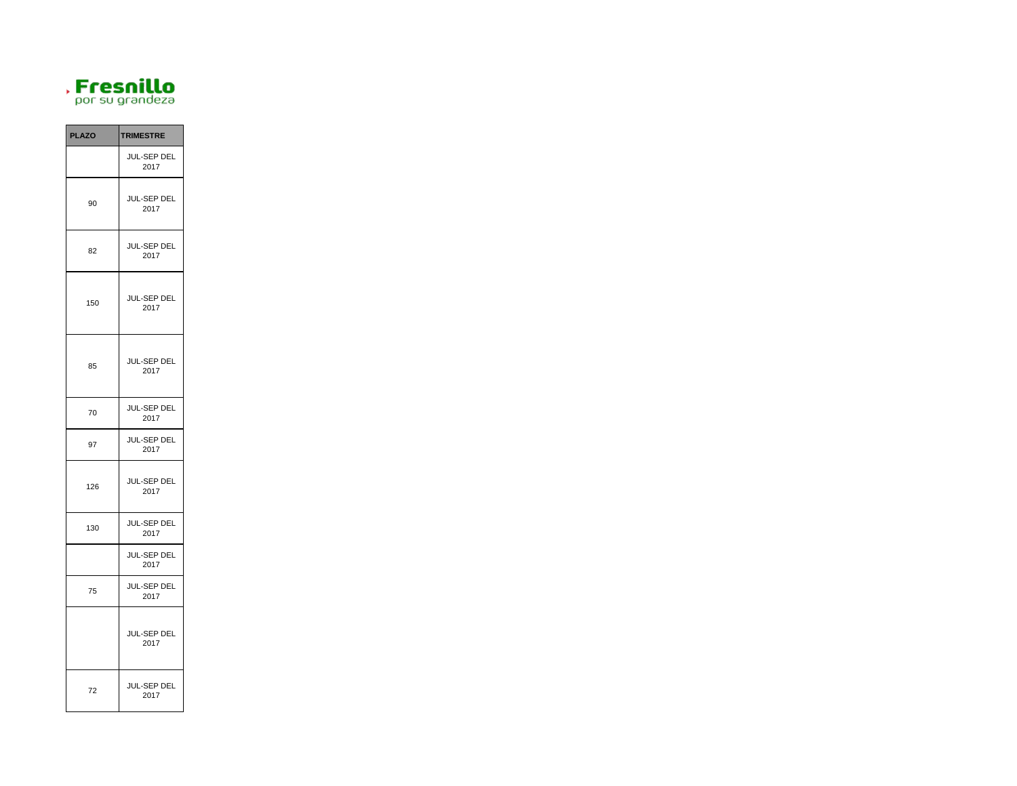

| <b>PLAZO</b> | <b>TRIMESTRE</b>           |
|--------------|----------------------------|
|              | JUL-SEP DEL<br>2017        |
| 90           | JUL-SEP DEL<br>2017        |
| 82           | JUL-SEP DEL<br>2017        |
| 150          | JUL-SEP DEL<br>2017        |
| 85           | JUL-SEP DEL<br>2017        |
| 70           | JUL-SEP DEL<br>2017        |
| 97           | JUL-SEP DEL<br>2017        |
| 126          | <b>JUL-SEP DEL</b><br>2017 |
| 130          | JUL-SEP DEL<br>2017        |
|              | JUL-SEP DEL<br>2017        |
| 75           | JUL-SEP DEL<br>2017        |
|              | JUL-SEP DEL<br>2017        |
| 72           | JUL-SEP DEL<br>2017        |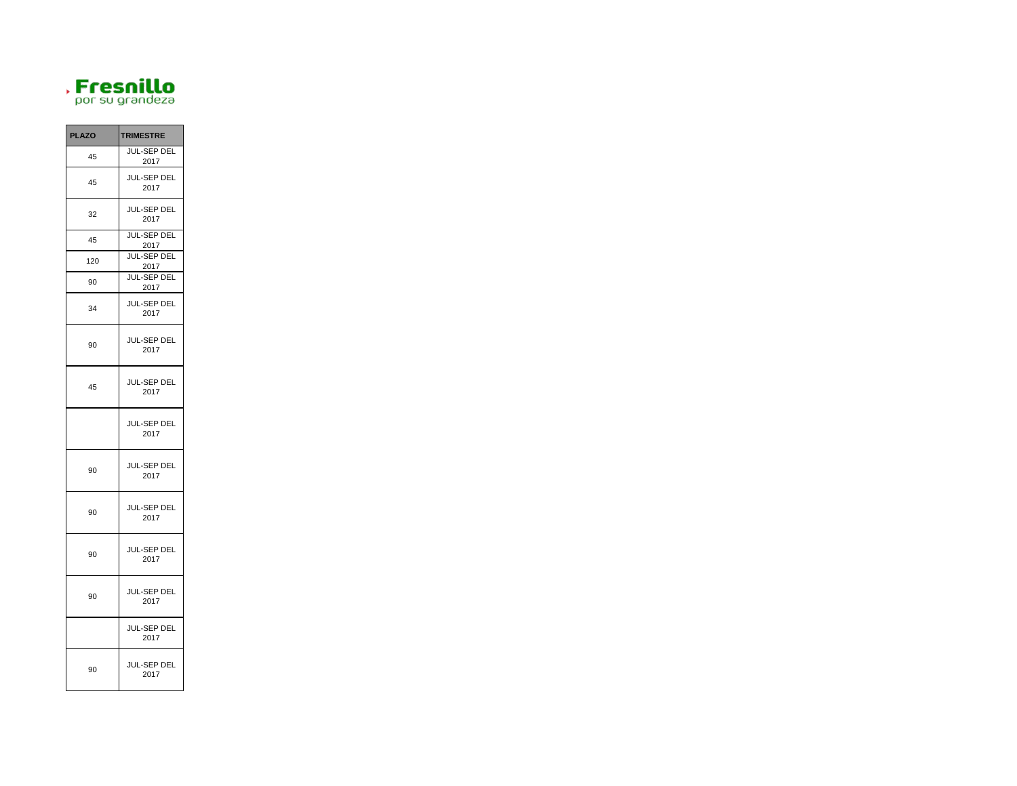

| <b>PLAZO</b> | <b>TRIMESTRE</b>           |
|--------------|----------------------------|
| 45           | <b>JUL-SEP DEL</b><br>2017 |
| 45           | JUL-SEP DEL<br>2017        |
| 32           | JUL-SEP DEL<br>2017        |
| 45           | <b>JUL-SEP DEL</b><br>2017 |
| 120          | JUL-SEP DEL<br>2017        |
| 90           | JUL-SEP DEL<br>2017        |
| 34           | JUL-SEP DEL<br>2017        |
| 90           | JUL-SEP DEL<br>2017        |
| 45           | JUL-SEP DEL<br>2017        |
|              | JUL-SEP DEL<br>2017        |
| 90           | JUL-SEP DEL<br>2017        |
| 90           | JUL-SEP DEL<br>2017        |
| 90           | JUL-SEP DEL<br>2017        |
| 90           | JUL-SEP DEL<br>2017        |
|              | JUL-SEP DEL<br>2017        |
| 90           | JUL-SEP DEL<br>2017        |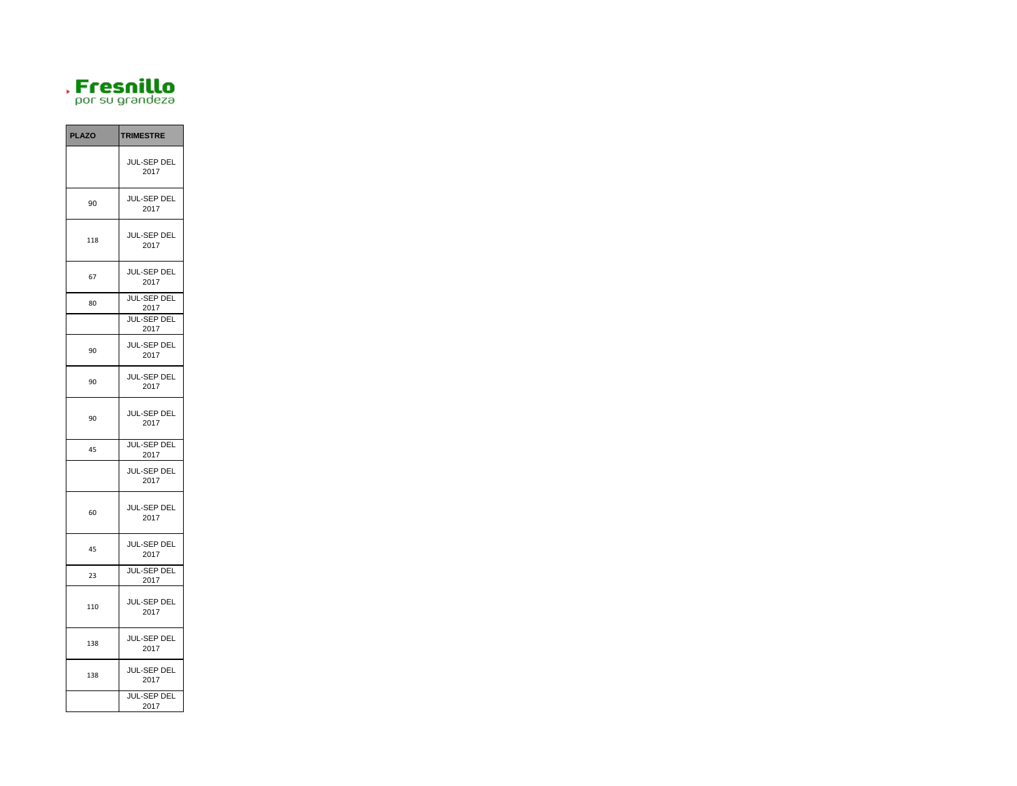

| <b>PLAZO</b> | <b>TRIMESTRE</b>           |
|--------------|----------------------------|
|              | JUL-SEP DEL<br>2017        |
| 90           | JUL-SEP DEL<br>2017        |
| 118          | JUL-SEP DEL<br>2017        |
| 67           | JUL-SEP DEL<br>2017        |
| 80           | <b>JUL-SEP DEL</b><br>2017 |
|              | JUL-SEP DEL<br>2017        |
| 90           | JUL-SEP DEL<br>2017        |
| 90           | JUL-SEP DEL<br>2017        |
| 90           | JUL-SEP DEL<br>2017        |
| 45           | <b>JUL-SEP DEL</b><br>2017 |
|              | JUL-SEP DEL<br>2017        |
| 60           | JUL-SEP DEL<br>2017        |
| 45           | JUL-SEP DEL<br>2017        |
| 23           | JUL-SEP DEL<br>2017        |
| 110          | JUL-SEP DEL<br>2017        |
| 138          | JUL-SEP DEL<br>2017        |
| 138          | JUL-SEP DEL<br>2017        |
|              | JUL-SEP DEL<br>2017        |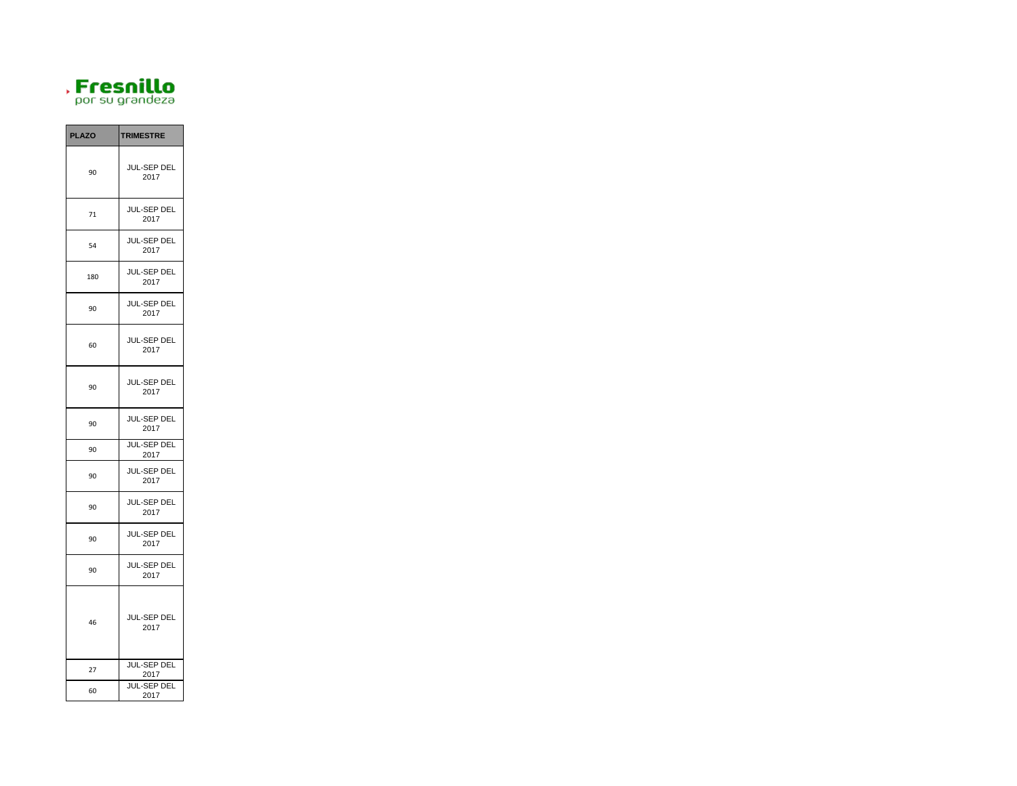

| <b>PLAZO</b> | <b>TRIMESTRE</b>           |
|--------------|----------------------------|
| 90           | JUL-SEP DEL<br>2017        |
| 71           | JUL-SEP DEL<br>2017        |
| 54           | JUL-SEP DEL<br>2017        |
| 180          | JUL-SEP DEL<br>2017        |
| 90           | JUL-SEP DEL<br>2017        |
| 60           | JUL-SEP DEL<br>2017        |
| 90           | <b>JUL-SEP DEL</b><br>2017 |
| 90           | JUL-SEP DEL<br>2017        |
| 90           | JUL-SEP DEL<br>2017        |
| 90           | JUL-SEP DEL<br>2017        |
| 90           | JUL-SEP DEL<br>2017        |
| 90           | JUL-SEP DEL<br>2017        |
| 90           | JUL-SEP DEL<br>2017        |
| 46           | JUL-SEP DEL<br>2017        |
| 27           | JUL-SEP DEL<br>2017        |
| 60           | <b>JUL-SEP DEL</b><br>2017 |